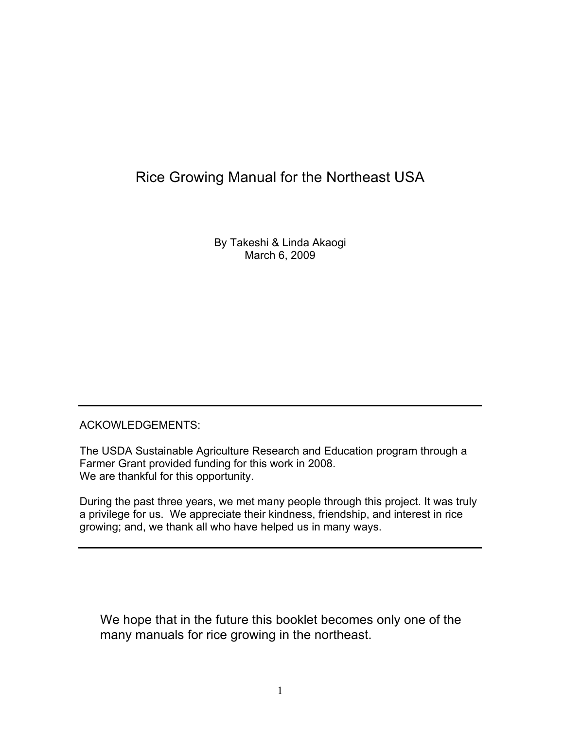## Rice Growing Manual for the Northeast USA

By Takeshi & Linda Akaogi March 6, 2009

#### ACKOWLEDGEMENTS:

The USDA Sustainable Agriculture Research and Education program through a Farmer Grant provided funding for this work in 2008. We are thankful for this opportunity.

During the past three years, we met many people through this project. It was truly a privilege for us. We appreciate their kindness, friendship, and interest in rice growing; and, we thank all who have helped us in many ways.

We hope that in the future this booklet becomes only one of the many manuals for rice growing in the northeast.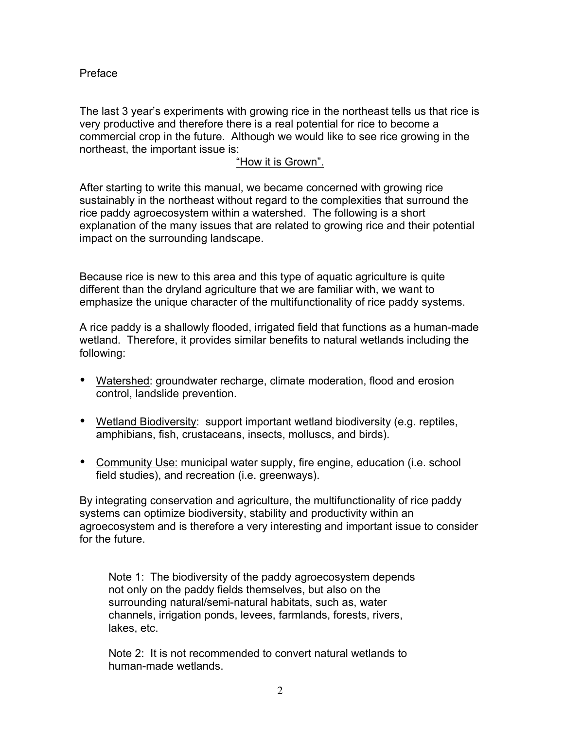Preface

The last 3 year's experiments with growing rice in the northeast tells us that rice is very productive and therefore there is a real potential for rice to become a commercial crop in the future. Although we would like to see rice growing in the northeast, the important issue is:

#### "How it is Grown".

After starting to write this manual, we became concerned with growing rice sustainably in the northeast without regard to the complexities that surround the rice paddy agroecosystem within a watershed. The following is a short explanation of the many issues that are related to growing rice and their potential impact on the surrounding landscape.

Because rice is new to this area and this type of aquatic agriculture is quite different than the dryland agriculture that we are familiar with, we want to emphasize the unique character of the multifunctionality of rice paddy systems.

A rice paddy is a shallowly flooded, irrigated field that functions as a human-made wetland. Therefore, it provides similar benefits to natural wetlands including the following:

- Watershed: groundwater recharge, climate moderation, flood and erosion control, landslide prevention.
- Wetland Biodiversity: support important wetland biodiversity (e.g. reptiles, amphibians, fish, crustaceans, insects, molluscs, and birds).
- Community Use: municipal water supply, fire engine, education (i.e. school field studies), and recreation (i.e. greenways).

By integrating conservation and agriculture, the multifunctionality of rice paddy systems can optimize biodiversity, stability and productivity within an agroecosystem and is therefore a very interesting and important issue to consider for the future.

Note 1: The biodiversity of the paddy agroecosystem depends not only on the paddy fields themselves, but also on the surrounding natural/semi-natural habitats, such as, water channels, irrigation ponds, levees, farmlands, forests, rivers, lakes, etc.

Note 2: It is not recommended to convert natural wetlands to human-made wetlands.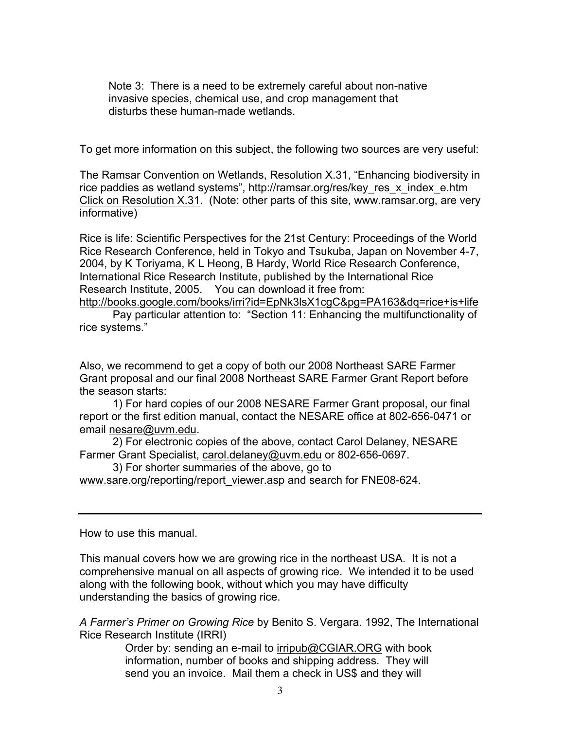Note 3: There is a need to be extremely careful about non-native invasive species, chemical use, and crop management that disturbs these human-made wetlands.

To get more information on this subject, the following two sources are very useful:

The Ramsar Convention on Wetlands, Resolution X.31, "Enhancing biodiversity in rice paddies as wetland systems", http://ramsar.org/res/key\_res\_x\_index\_e.htm Click on Resolution X.31. (Note: other parts of this site, www.ramsar.org, are very informative)

Rice is life: Scientific Perspectives for the 21st Century: Proceedings of the World Rice Research Conference, held in Tokyo and Tsukuba, Japan on November 4-7, 2004, by K Toriyama, K L Heong, B Hardy, World Rice Research Conference, International Rice Research Institute, published by the International Rice Research Institute, 2005. You can download it free from:

http://books.google.com/books/irri?id=EpNk3lsX1cgC&pg=PA163&dq=rice+is+life Pay particular attention to: "Section 11: Enhancing the multifunctionality of rice systems."

Also, we recommend to get a copy of both our 2008 Northeast SARE Farmer Grant proposal and our final 2008 Northeast SARE Farmer Grant Report before the season starts:

1) For hard copies of our 2008 NESARE Farmer Grant proposal, our final report or the first edition manual, contact the NESARE office at 802-656-0471 or email nesare@uvm.edu.

2) For electronic copies of the above, contact Carol Delaney, NESARE Farmer Grant Specialist, carol.delaney@uvm.edu or 802-656-0697.

3) For shorter summaries of the above, go to

www.sare.org/reporting/report\_viewer.asp and search for FNE08-624.

How to use this manual.

This manual covers how we are growing rice in the northeast USA. It is not a comprehensive manual on all aspects of growing rice. We intended it to be used along with the following book, without which you may have difficulty understanding the basics of growing rice.

*A Farmer's Primer on Growing Rice* by Benito S. Vergara. 1992, The International Rice Research Institute (IRRI)

> Order by: sending an e-mail to irripub@CGIAR.ORG with book information, number of books and shipping address. They will send you an invoice. Mail them a check in US\$ and they will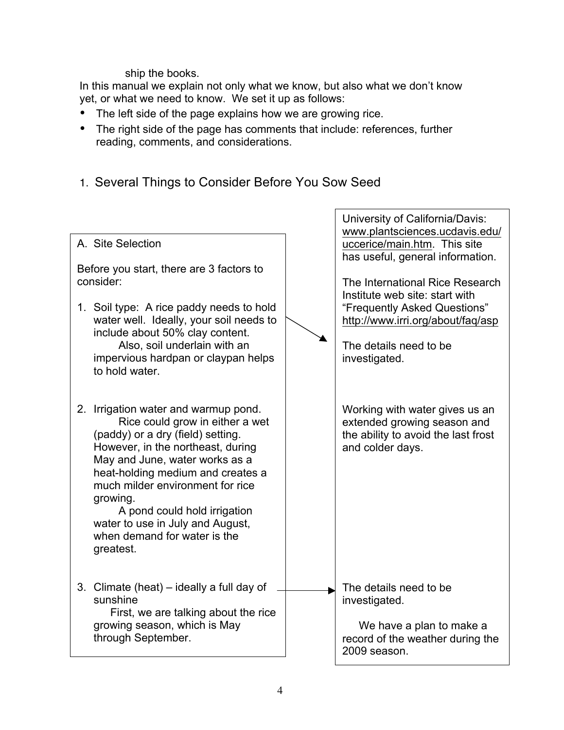ship the books.

In this manual we explain not only what we know, but also what we don't know yet, or what we need to know. We set it up as follows:

- The left side of the page explains how we are growing rice.
- The right side of the page has comments that include: references, further reading, comments, and considerations.
- 1. Several Things to Consider Before You Sow Seed

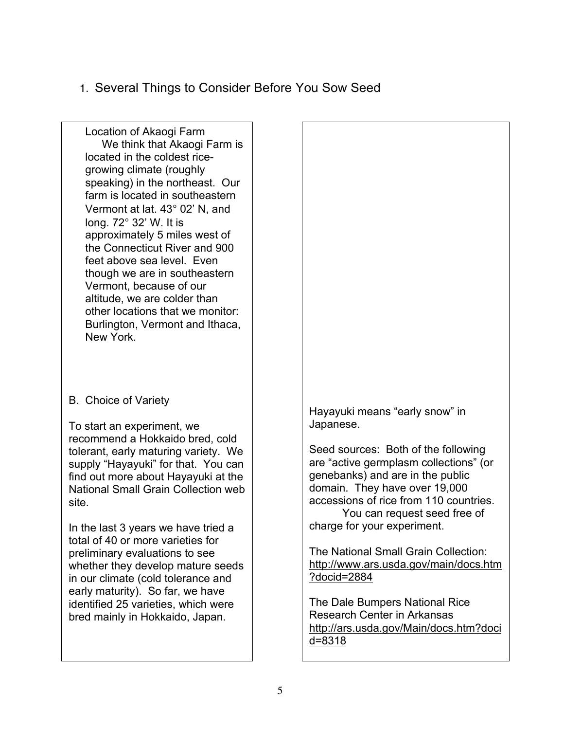1. Several Things to Consider Before You Sow Seed

Location of Akaogi Farm We think that Akaogi Farm is located in the coldest ricegrowing climate (roughly speaking) in the northeast. Our farm is located in southeastern Vermont at lat. 43° 02' N, and long. 72° 32' W. It is approximately 5 miles west of the Connecticut River and 900 feet above sea level. Even though we are in southeastern Vermont, because of our altitude, we are colder than other locations that we monitor: Burlington, Vermont and Ithaca, New York.

B. Choice of Variety

To start an experiment, we recommend a Hokkaido bred, cold tolerant, early maturing variety. We supply "Hayayuki" for that. You can find out more about Hayayuki at the National Small Grain Collection web site.

In the last 3 years we have tried a total of 40 or more varieties for preliminary evaluations to see whether they develop mature seeds in our climate (cold tolerance and early maturity). So far, we have identified 25 varieties, which were bred mainly in Hokkaido, Japan.

Hayayuki means "early snow" in Japanese.

Seed sources: Both of the following are "active germplasm collections" (or genebanks) and are in the public domain. They have over 19,000 accessions of rice from 110 countries. You can request seed free of charge for your experiment.

The National Small Grain Collection: http://www.ars.usda.gov/main/docs.htm ?docid=2884

The Dale Bumpers National Rice Research Center in Arkansas http://ars.usda.gov/Main/docs.htm?doci d=8318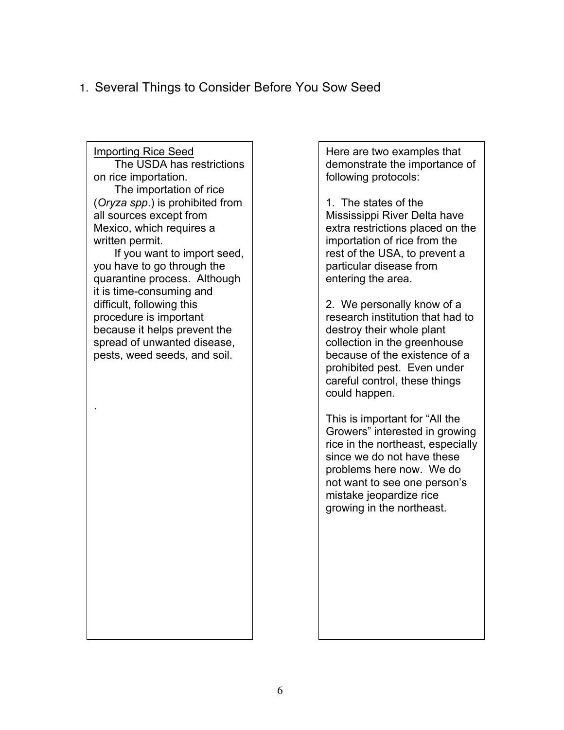#### 1. Several Things to Consider Before You Sow Seed

Importing Rice Seed The USDA has restrictions on rice importation. The importation of rice (*Oryza spp*.) is prohibited from all sources except from Mexico, which requires a written permit. If you want to import seed, you have to go through the quarantine process. Although it is time-consuming and difficult, following this procedure is important because it helps prevent the spread of unwanted disease, pests, weed seeds, and soil. .

Here are two examples that demonstrate the importance of following protocols:

1. The states of the Mississippi River Delta have extra restrictions placed on the importation of rice from the rest of the USA, to prevent a particular disease from entering the area.

2. We personally know of a research institution that had to destroy their whole plant collection in the greenhouse because of the existence of a prohibited pest. Even under careful control, these things could happen.

This is important for "All the Growers" interested in growing rice in the northeast, especially since we do not have these problems here now. We do not want to see one person's mistake jeopardize rice growing in the northeast.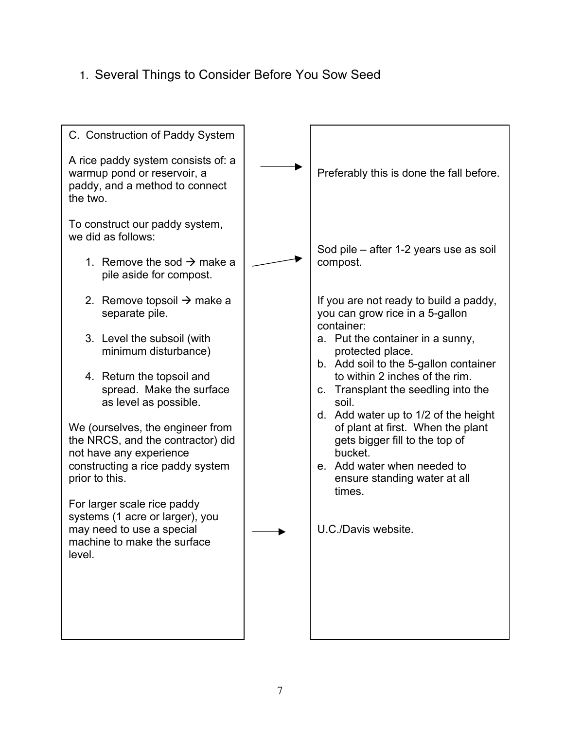## 1. Several Things to Consider Before You Sow Seed

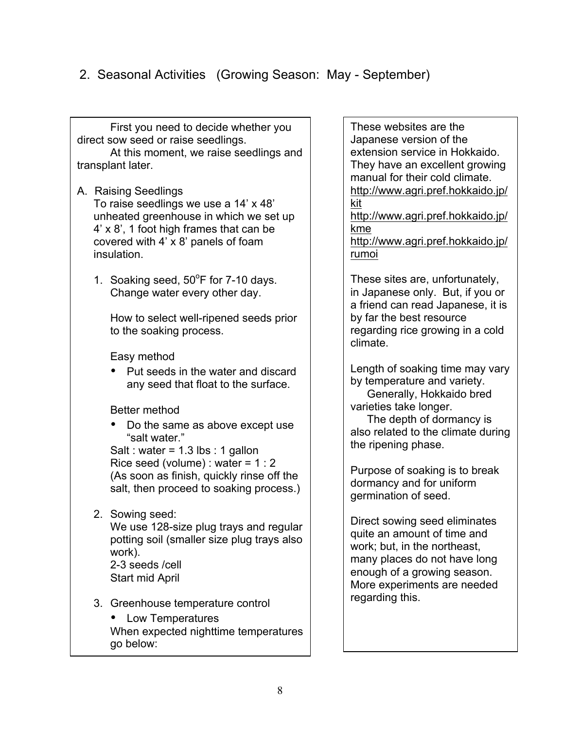First you need to decide whether you direct sow seed or raise seedlings.

At this moment, we raise seedlings and transplant later.

#### A. Raising Seedlings

To raise seedlings we use a 14' x 48' unheated greenhouse in which we set up 4' x 8', 1 foot high frames that can be covered with 4' x 8' panels of foam insulation.

1. Soaking seed,  $50^{\circ}$ F for 7-10 days. Change water every other day.

How to select well-ripened seeds prior to the soaking process.

Easy method

• Put seeds in the water and discard any seed that float to the surface.

Better method

• Do the same as above except use "salt water."

Salt : water =  $1.3$  lbs : 1 gallon Rice seed (volume) : water =  $1:2$ (As soon as finish, quickly rinse off the salt, then proceed to soaking process.)

2. Sowing seed:

We use 128-size plug trays and regular potting soil (smaller size plug trays also work). 2-3 seeds /cell

Start mid April

3. Greenhouse temperature control

• Low Temperatures When expected nighttime temperatures go below:

These websites are the Japanese version of the extension service in Hokkaido. They have an excellent growing manual for their cold climate. http://www.agri.pref.hokkaido.jp/ kit

http://www.agri.pref.hokkaido.jp/ kme

http://www.agri.pref.hokkaido.jp/ rumoi

These sites are, unfortunately, in Japanese only. But, if you or a friend can read Japanese, it is by far the best resource regarding rice growing in a cold climate.

Length of soaking time may vary by temperature and variety. Generally, Hokkaido bred varieties take longer.

The depth of dormancy is also related to the climate during the ripening phase.

Purpose of soaking is to break dormancy and for uniform germination of seed.

Direct sowing seed eliminates quite an amount of time and work; but, in the northeast, many places do not have long enough of a growing season. More experiments are needed regarding this.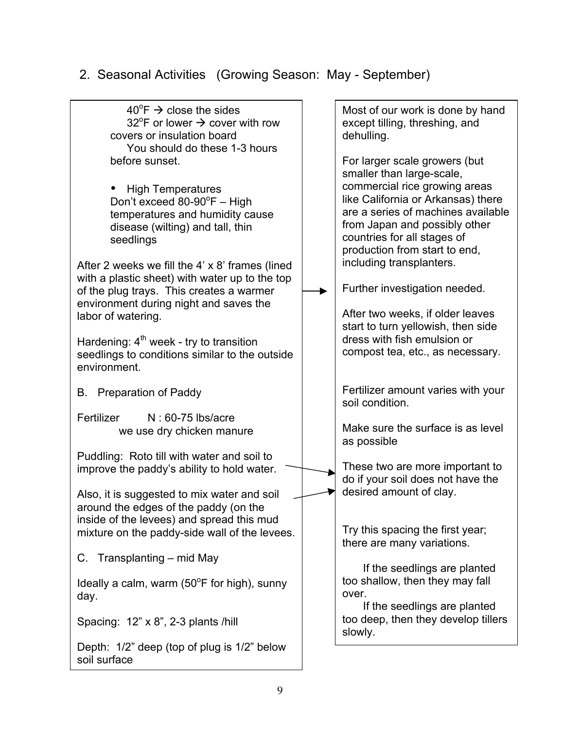| $40^{\circ}F \rightarrow$ close the sides<br>32 <sup>o</sup> F or lower $\rightarrow$ cover with row<br>covers or insulation board<br>You should do these 1-3 hours                            | Most of our work is done by hand<br>except tilling, threshing, and<br>dehulling.                                                                                                                                                       |
|------------------------------------------------------------------------------------------------------------------------------------------------------------------------------------------------|----------------------------------------------------------------------------------------------------------------------------------------------------------------------------------------------------------------------------------------|
| before sunset.                                                                                                                                                                                 | For larger scale growers (but<br>smaller than large-scale,                                                                                                                                                                             |
| <b>High Temperatures</b><br>Don't exceed 80-90°F - High<br>temperatures and humidity cause<br>disease (wilting) and tall, thin<br>seedlings<br>After 2 weeks we fill the 4' x 8' frames (lined | commercial rice growing areas<br>like California or Arkansas) there<br>are a series of machines available<br>from Japan and possibly other<br>countries for all stages of<br>production from start to end,<br>including transplanters. |
| with a plastic sheet) with water up to the top<br>of the plug trays. This creates a warmer                                                                                                     | Further investigation needed.                                                                                                                                                                                                          |
| environment during night and saves the<br>labor of watering.                                                                                                                                   | After two weeks, if older leaves<br>start to turn yellowish, then side                                                                                                                                                                 |
| Hardening: $4th$ week - try to transition<br>seedlings to conditions similar to the outside<br>environment.                                                                                    | dress with fish emulsion or<br>compost tea, etc., as necessary.                                                                                                                                                                        |
| B. Preparation of Paddy                                                                                                                                                                        | Fertilizer amount varies with your<br>soil condition.                                                                                                                                                                                  |
| Fertilizer<br>N: 60-75 lbs/acre<br>we use dry chicken manure                                                                                                                                   | Make sure the surface is as level<br>as possible                                                                                                                                                                                       |
| Puddling: Roto till with water and soil to<br>improve the paddy's ability to hold water.                                                                                                       | These two are more important to<br>do if your soil does not have the                                                                                                                                                                   |
| Also, it is suggested to mix water and soil<br>around the edges of the paddy (on the                                                                                                           | desired amount of clay.                                                                                                                                                                                                                |
| inside of the levees) and spread this mud<br>mixture on the paddy-side wall of the levees.                                                                                                     | Try this spacing the first year;<br>there are many variations.                                                                                                                                                                         |
| C. Transplanting – mid May                                                                                                                                                                     | If the seedlings are planted                                                                                                                                                                                                           |
| Ideally a calm, warm $(50^{\circ}$ F for high), sunny<br>day.                                                                                                                                  | too shallow, then they may fall<br>over.                                                                                                                                                                                               |
| Spacing: 12" x 8", 2-3 plants /hill                                                                                                                                                            | If the seedlings are planted<br>too deep, then they develop tillers<br>slowly.                                                                                                                                                         |
| Depth: 1/2" deep (top of plug is 1/2" below<br>soil surface                                                                                                                                    |                                                                                                                                                                                                                                        |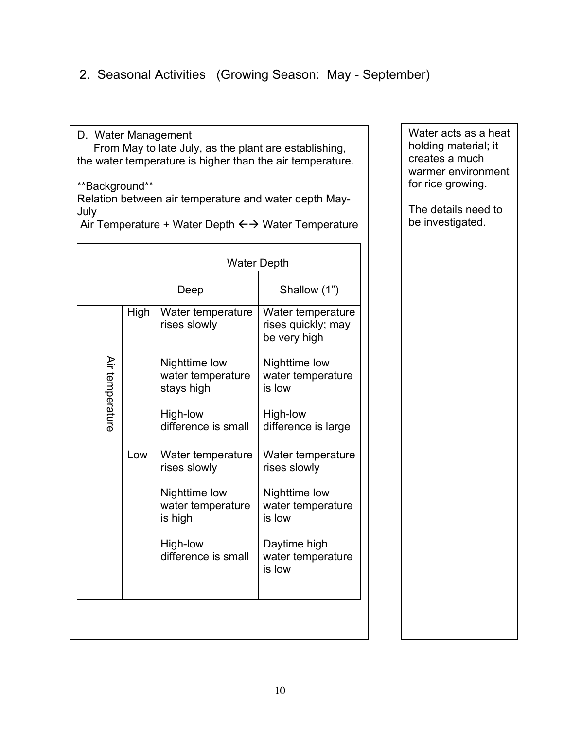D. Water Management From May to late July, as the plant are establishing, the water temperature is higher than the air temperature.

\*\*Background\*\*

Relation between air temperature and water depth May-July

|                 |      | <b>Water Depth</b>                               |                                                         |  |
|-----------------|------|--------------------------------------------------|---------------------------------------------------------|--|
|                 |      | Deep                                             | Shallow (1")                                            |  |
|                 | High | Water temperature<br>rises slowly                | Water temperature<br>rises quickly; may<br>be very high |  |
| Air temperature |      | Nighttime low<br>water temperature<br>stays high | Nighttime low<br>water temperature<br>is low            |  |
|                 |      | High-low<br>difference is small                  | High-low<br>difference is large                         |  |
|                 | Low  | Water temperature<br>rises slowly                | Water temperature<br>rises slowly                       |  |
|                 |      | Nighttime low<br>water temperature<br>is high    | Nighttime low<br>water temperature<br>is low            |  |
|                 |      | High-low<br>difference is small                  | Daytime high<br>water temperature<br>is low             |  |
|                 |      |                                                  |                                                         |  |

Air Temperature + Water Depth  $\leftrightarrow$  Water Temperature

Water acts as a heat holding material; it creates a much warmer environment for rice growing.

The details need to be investigated.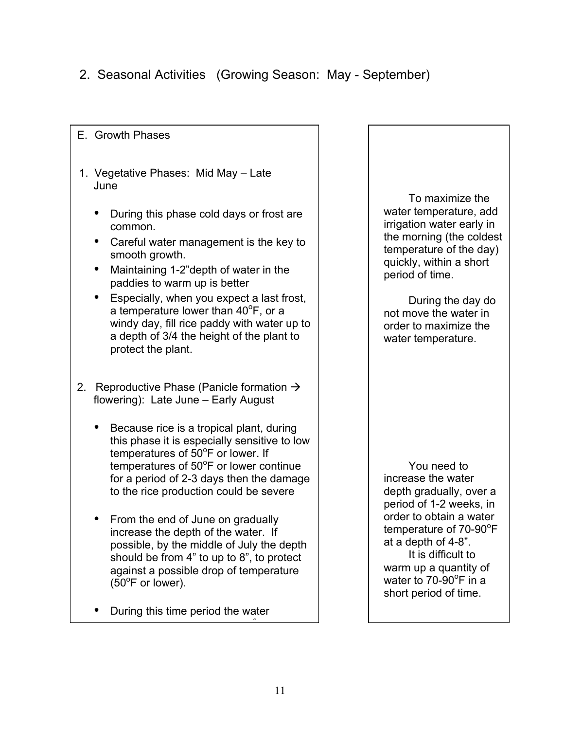#### E. Growth Phases

- 1. Vegetative Phases: Mid May Late June
	- During this phase cold days or frost are common.
	- Careful water management is the key to smooth growth.
	- Maintaining 1-2"depth of water in the paddies to warm up is better
	- Especially, when you expect a last frost, a temperature lower than 40°F, or a windy day, fill rice paddy with water up to a depth of 3/4 the height of the plant to protect the plant.
- 2. Reproductive Phase (Panicle formation  $\rightarrow$ flowering): Late June – Early August
	- Because rice is a tropical plant, during this phase it is especially sensitive to low temperatures of 50°F or lower. If temperatures of 50°F or lower continue for a period of 2-3 days then the damage to the rice production could be severe
	- From the end of June on gradually increase the depth of the water. If possible, by the middle of July the depth should be from 4" to up to 8", to protect against a possible drop of temperature  $(50^{\circ}$ F or lower).
	- During this time period the water temperature will rise to 70-90<sup>o</sup>

To maximize the water temperature, add irrigation water early in the morning (the coldest temperature of the day) quickly, within a short period of time.

During the day do not move the water in order to maximize the water temperature.

You need to increase the water depth gradually, over a period of 1-2 weeks, in order to obtain a water temperature of 70-90°F at a depth of 4-8". It is difficult to warm up a quantity of water to 70-90 $^{\circ}$ F in a short period of time.

F.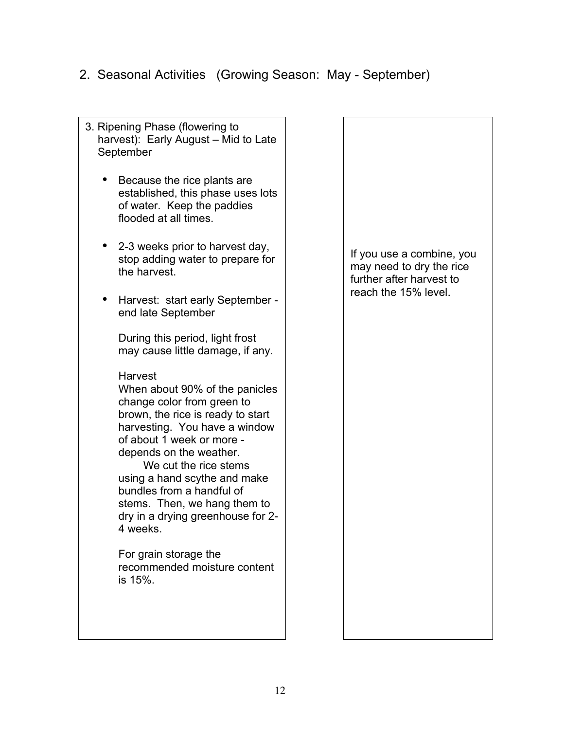3. Ripening Phase (flowering to harvest): Early August – Mid to Late September • Because the rice plants are established, this phase uses lots of water. Keep the paddies flooded at all times. • 2-3 weeks prior to harvest day, stop adding water to prepare for the harvest. • Harvest: start early September end late September During this period, light frost may cause little damage, if any. **Harvest** When about 90% of the panicles change color from green to brown, the rice is ready to start harvesting. You have a window of about 1 week or more depends on the weather. We cut the rice stems using a hand scythe and make bundles from a handful of stems. Then, we hang them to dry in a drying greenhouse for 2- 4 weeks. For grain storage the recommended moisture content is 15%. If you use a combine, you may need to dry the rice further after harvest to reach the 15% level.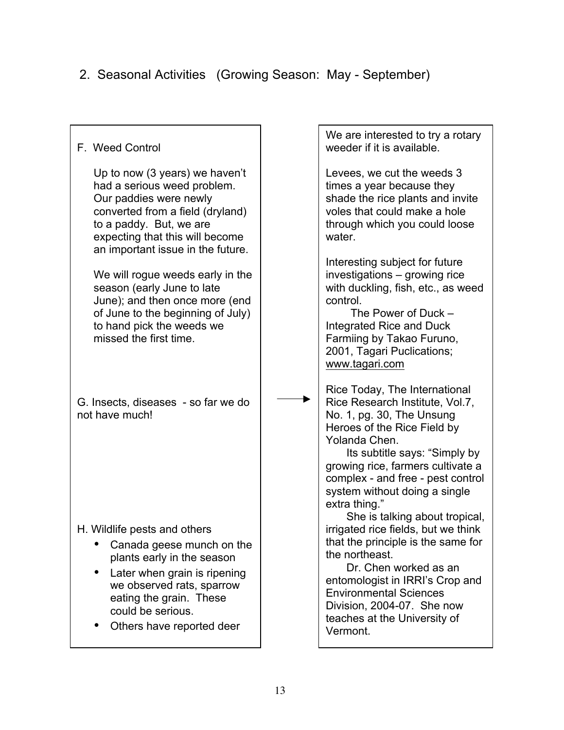F. Weed Control Up to now (3 years) we haven't had a serious weed problem. Our paddies were newly converted from a field (dryland) to a paddy. But, we are expecting that this will become an important issue in the future. We will rogue weeds early in the season (early June to late June); and then once more (end of June to the beginning of July) to hand pick the weeds we missed the first time. G. Insects, diseases - so far we do not have much! H. Wildlife pests and others • Canada geese munch on the plants early in the season • Later when grain is ripening we observed rats, sparrow eating the grain. These could be serious. • Others have reported deer We are interested to try a rotary weeder if it is available. Levees, we cut the weeds 3 times a year because they shade the rice plants and invite voles that could make a hole through which you could loose water. Interesting subject for future investigations – growing rice with duckling, fish, etc., as weed control. The Power of Duck – Integrated Rice and Duck Farmiing by Takao Furuno, 2001, Tagari Puclications; www.tagari.com Rice Today, The International Rice Research Institute, Vol.7, No. 1, pg. 30, The Unsung Heroes of the Rice Field by Yolanda Chen. Its subtitle says: "Simply by growing rice, farmers cultivate a complex - and free - pest control system without doing a single extra thing." She is talking about tropical, irrigated rice fields, but we think that the principle is the same for the northeast. Dr. Chen worked as an entomologist in IRRI's Crop and Environmental Sciences Division, 2004-07. She now teaches at the University of Vermont.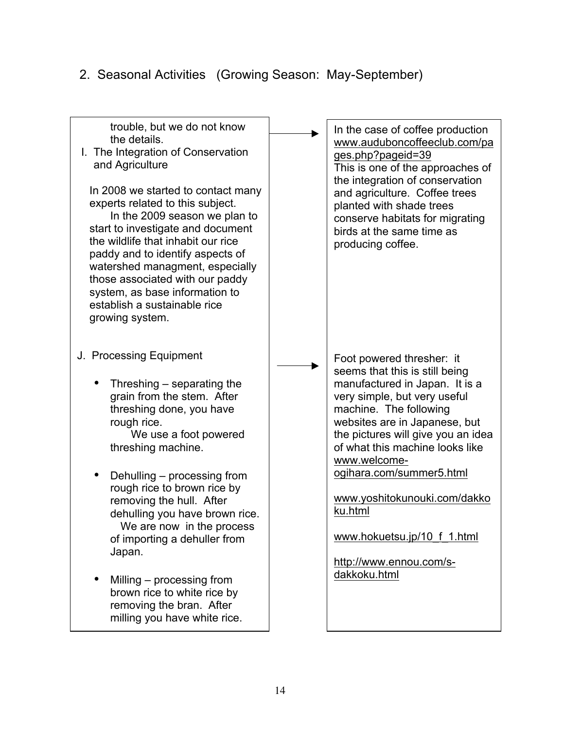| trouble, but we do not know<br>the details.<br>I. The Integration of Conservation<br>and Agriculture<br>In 2008 we started to contact many<br>experts related to this subject.<br>In the 2009 season we plan to<br>start to investigate and document<br>the wildlife that inhabit our rice<br>paddy and to identify aspects of<br>watershed managment, especially<br>those associated with our paddy<br>system, as base information to<br>establish a sustainable rice<br>growing system.                | In the case of coffee production<br>www.auduboncoffeeclub.com/pa<br>ges.php?pageid=39<br>This is one of the approaches of<br>the integration of conservation<br>and agriculture. Coffee trees<br>planted with shade trees<br>conserve habitats for migrating<br>birds at the same time as<br>producing coffee.                                                                                                                     |
|----------------------------------------------------------------------------------------------------------------------------------------------------------------------------------------------------------------------------------------------------------------------------------------------------------------------------------------------------------------------------------------------------------------------------------------------------------------------------------------------------------|------------------------------------------------------------------------------------------------------------------------------------------------------------------------------------------------------------------------------------------------------------------------------------------------------------------------------------------------------------------------------------------------------------------------------------|
| J. Processing Equipment<br>Threshing – separating the<br>grain from the stem. After<br>threshing done, you have<br>rough rice.<br>We use a foot powered<br>threshing machine.<br>Dehulling - processing from<br>rough rice to brown rice by<br>removing the hull. After<br>dehulling you have brown rice.<br>We are now in the process<br>of importing a dehuller from<br>Japan.<br>Milling – processing from<br>brown rice to white rice by<br>removing the bran. After<br>milling you have white rice. | Foot powered thresher: it<br>seems that this is still being<br>manufactured in Japan. It is a<br>very simple, but very useful<br>machine. The following<br>websites are in Japanese, but<br>the pictures will give you an idea<br>of what this machine looks like<br>www.welcome-<br>ogihara.com/summer5.html<br>www.yoshitokunouki.com/dakko<br>ku.html<br>www.hokuetsu.jp/10 f_1.html<br>http://www.ennou.com/s-<br>dakkoku.html |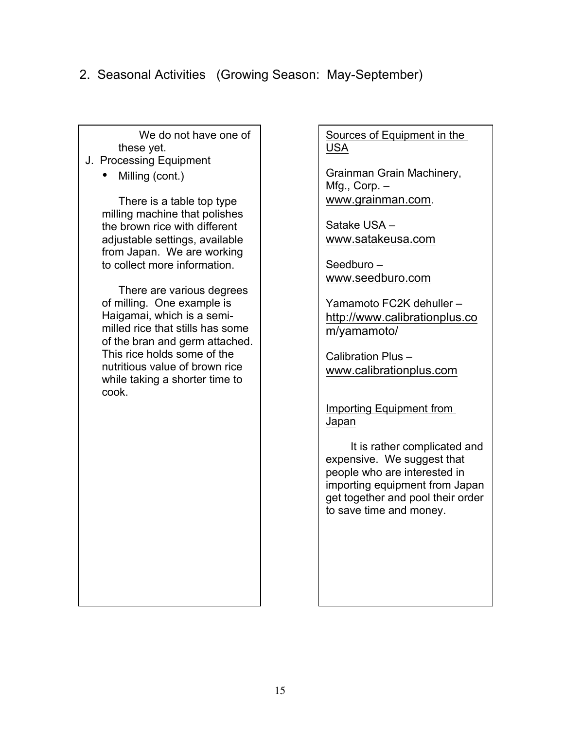We do not have one of these yet.

- J. Processing Equipment
	- Milling (cont.)

There is a table top type milling machine that polishes the brown rice with different adjustable settings, available from Japan. We are working to collect more information.

There are various degrees of milling. One example is Haigamai, which is a semimilled rice that stills has some of the bran and germ attached. This rice holds some of the nutritious value of brown rice while taking a shorter time to cook.

Sources of Equipment in the USA

Grainman Grain Machinery, Mfg., Corp. – www.grainman.com.

Satake USA – www.satakeusa.com

Seedburo – www.seedburo.com

Yamamoto FC2K dehuller – http://www.calibrationplus.co m/yamamoto/

Calibration Plus – www.calibrationplus.com

Importing Equipment from Japan

It is rather complicated and expensive. We suggest that people who are interested in importing equipment from Japan get together and pool their order to save time and money.